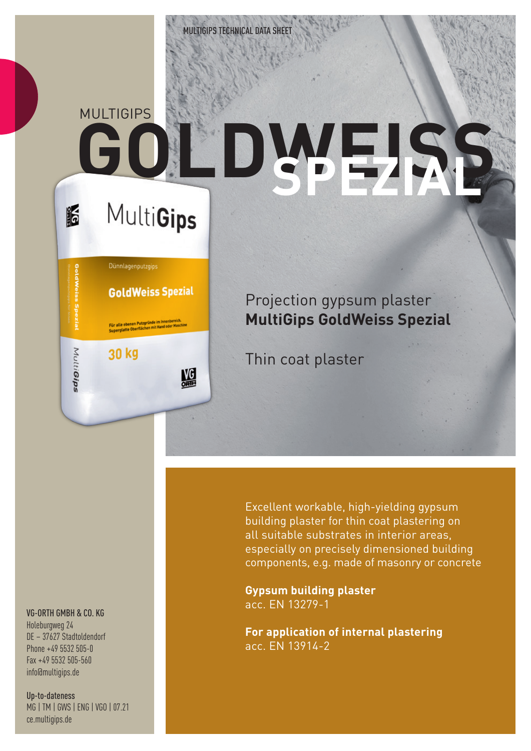# **MULTIGIPS GOLDWEISS SPEZIAL**

|                                                  | Dünnlagenputzgips                                                                             |  |
|--------------------------------------------------|-----------------------------------------------------------------------------------------------|--|
| Diamiagenputzgips für Inner<br>GoldWeiss Spezial | <b>GoldWeiss Spezial</b>                                                                      |  |
|                                                  | Für alle ebenen Putzgründe im Innenbereich.<br>Superglatte Oberflächen mit Hand oder Maschine |  |
|                                                  | 30 kg                                                                                         |  |
| Multi <b>Gips</b>                                |                                                                                               |  |
|                                                  |                                                                                               |  |

### Projection gypsum plaster **MultiGips GoldWeiss Spezial**

Thin coat plaster

Excellent workable, high-yielding gypsum building plaster for thin coat plastering on all suitable substrates in interior areas, especially on precisely dimensioned building components, e.g. made of masonry or concrete

**Gypsum building plaster** acc. EN 13279-1

**For application of internal plastering** acc. EN 13914-2

#### VG-ORTH GMBH & CO. KG

Holeburgweg 24 DE – 37627 Stadtoldendorf Phone +49 5532 505-0 Fax +49 5532 505-560 info@multigips.de

Up-to-dateness MG | TM | GWS | ENG | VGO | 07.21 ce.multigips.de